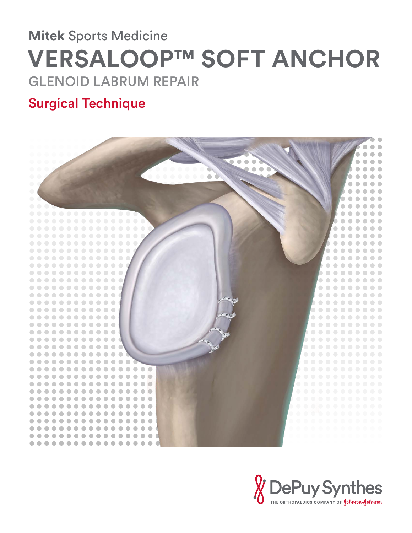# **Mitek** Sports Medicine **VERSALOOP™ SOFT ANCHOR** GLENOID LABRUM REPAIR

## Surgical Technique



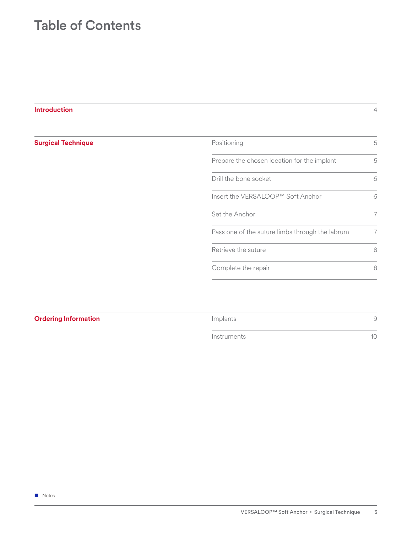## Table of Contents

| <b>Introduction</b>         |                                                 | $\overline{4}$ |
|-----------------------------|-------------------------------------------------|----------------|
| <b>Surgical Technique</b>   | Positioning                                     | 5              |
|                             | Prepare the chosen location for the implant     | 5              |
|                             | Drill the bone socket                           | 6              |
|                             | Insert the VERSALOOP™ Soft Anchor               | 6              |
|                             | Set the Anchor                                  | 7              |
|                             | Pass one of the suture limbs through the labrum | $\overline{7}$ |
|                             | Retrieve the suture                             | 8              |
|                             | Complete the repair                             | 8              |
|                             |                                                 |                |
| <b>Ordering Information</b> | Implants                                        | 9              |

| Instruments |  |
|-------------|--|
|             |  |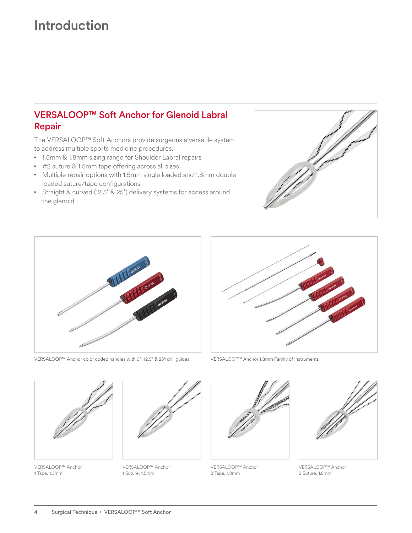## Introduction

## VERSALOOP™ Soft Anchor for Glenoid Labral Repair

The VERSALOOP™ Soft Anchors provide surgeons a versatile system to address multiple sports medicine procedures.

- · 1.5mm & 1.8mm sizing range for Shoulder Labral repairs
- · #2 suture & 1.5mm tape offering across all sizes
- · Multiple repair options with 1.5mm single loaded and 1.8mm double loaded suture/tape configurations
- · Straight & curved (12.5˚ & 25˚) delivery systems for access around the glenoid





VERSALOOP™ Anchor color coded handles with 0°, 12.5° & 25° drill guides VERSALOOP™ Anchor 1.8mm Family of Instruments





VERSALOOP™ Anchor 1 Tape, 1.5mm



VERSALOOP™ Anchor 1 Suture, 1.5mm



VERSALOOP™ Anchor 2 Tape, 1.8mm



VERSALOOP™ Anchor 2 Suture, 1.8mm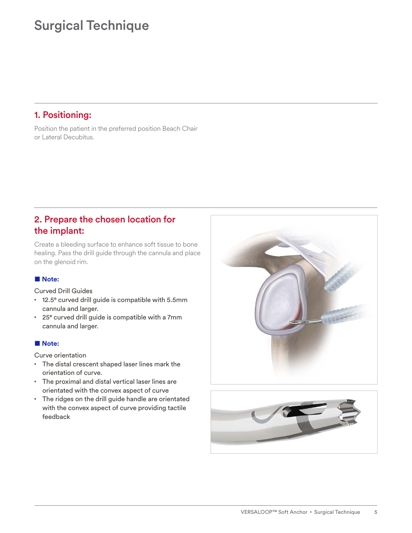## 1. Positioning:

Position the patient in the preferred position Beach Chair or Lateral Decubitus.

## 2. Prepare the chosen location for the implant:

Create a bleeding surface to enhance soft tissue to bone healing. Pass the drill guide through the cannula and place on the glenoid rim.

#### **■ Note:**

Curved Drill Guides

- 12.5° curved drill guide is compatible with 5.5mm cannula and larger.
- 25° curved drill guide is compatible with a 7mm cannula and larger.

#### **■ Note:**

Curve orientation

- The distal crescent shaped laser lines mark the orientation of curve.
- The proximal and distal vertical laser lines are orientated with the convex aspect of curve
- The ridges on the drill guide handle are orientated with the convex aspect of curve providing tactile feedback

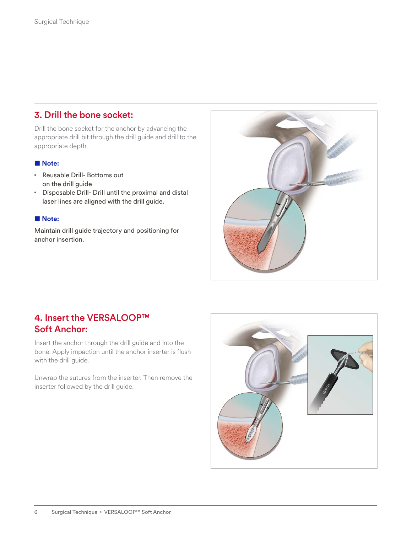## 3. Drill the bone socket:

Drill the bone socket for the anchor by advancing the appropriate drill bit through the drill guide and drill to the appropriate depth.

#### **■ Note:**

- Reusable Drill- Bottoms out on the drill guide
- Disposable Drill- Drill until the proximal and distal laser lines are aligned with the drill guide.

#### **■ Note:**

Maintain drill guide trajectory and positioning for anchor insertion.



## 4. Insert the VERSALOOP™ Soft Anchor:

Insert the anchor through the drill guide and into the bone. Apply impaction until the anchor inserter is flush with the drill guide.

Unwrap the sutures from the inserter. Then remove the inserter followed by the drill guide.

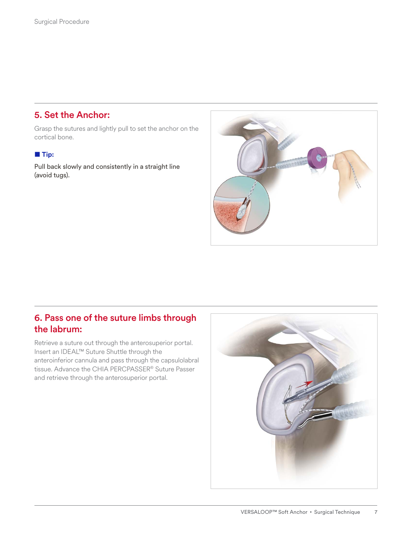### 5. Set the Anchor:

Grasp the sutures and lightly pull to set the anchor on the cortical bone.

#### **■ Tip:**

Pull back slowly and consistently in a straight line (avoid tugs).



### 6. Pass one of the suture limbs through the labrum:

Retrieve a suture out through the anterosuperior portal. Insert an IDEAL™ Suture Shuttle through the anteroinferior cannula and pass through the capsulolabral tissue. Advance the CHIA PERCPASSER® Suture Passer and retrieve through the anterosuperior portal.

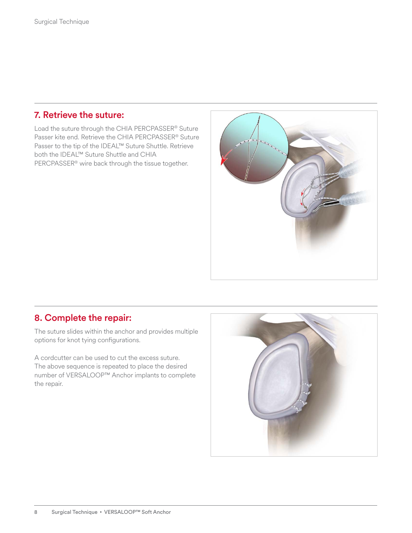## 7. Retrieve the suture:

Load the suture through the CHIA PERCPASSER® Suture Passer kite end. Retrieve the CHIA PERCPASSER® Suture Passer to the tip of the IDEAL™ Suture Shuttle. Retrieve both the IDEAL™ Suture Shuttle and CHIA PERCPASSER® wire back through the tissue together.



## 8. Complete the repair:

The suture slides within the anchor and provides multiple options for knot tying configurations.

A cordcutter can be used to cut the excess suture. The above sequence is repeated to place the desired number of VERSALOOP™ Anchor implants to complete the repair.

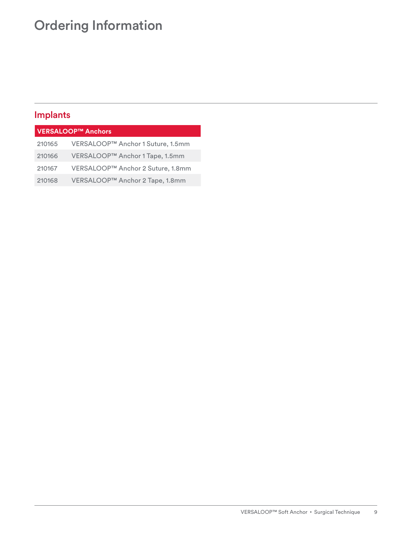## Ordering Information

## Implants

| <b>VERSALOOP™ Anchors</b> |                                   |
|---------------------------|-----------------------------------|
| 210165                    | VERSALOOP™ Anchor 1 Suture, 1.5mm |
| 210166                    | VERSALOOP™ Anchor 1 Tape, 1.5mm   |
| 210167                    | VERSALOOP™ Anchor 2 Suture, 1.8mm |
| 210168                    | VERSALOOP™ Anchor 2 Tape, 1.8mm   |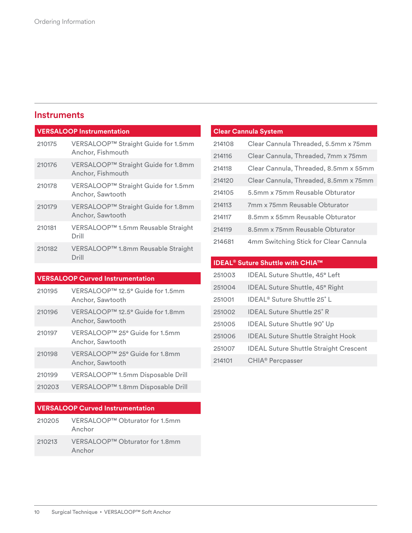#### **Instruments**

## **VERSALOOP Instrumentation**

| 210175 | VERSALOOP™ Straight Guide for 1.5mm<br>Anchor, Fishmouth |
|--------|----------------------------------------------------------|
| 210176 | VERSALOOP™ Straight Guide for 1.8mm<br>Anchor, Fishmouth |
| 210178 | VERSALOOP™ Straight Guide for 1.5mm<br>Anchor, Sawtooth  |
| 210179 | VERSALOOP™ Straight Guide for 1.8mm<br>Anchor, Sawtooth  |
| 210181 | VERSALOOP™ 1.5mm Reusable Straight<br>Drill              |
| 210182 | VERSALOOP™ 1.8mm Reusable Straight<br>Drill              |
|        |                                                          |

#### **VERSALOOP Curved Instrumentation**

| 210195 | VERSALOOP™ 12.5° Guide for 1.5mm<br>Anchor, Sawtooth |
|--------|------------------------------------------------------|
| 210196 | VERSALOOP™ 12.5° Guide for 1.8mm<br>Anchor, Sawtooth |
| 210197 | VERSALOOP™ 25° Guide for 1.5mm<br>Anchor, Sawtooth   |
| 210198 | VERSALOOP™ 25° Guide for 1.8mm<br>Anchor, Sawtooth   |
| 210199 | VERSALOOP™ 1.5mm Disposable Drill                    |

210203 VERSALOOP™ 1.8mm Disposable Drill

#### **VERSALOOP Curved Instrumentation**

| 210205 | VERSALOOP™ Obturator for 1.5mm<br>Anchor |
|--------|------------------------------------------|
| 210213 | VERSALOOP™ Obturator for 1.8mm<br>Anchor |

#### **Clear Cannula System**

| 214108 | Clear Cannula Threaded, 5.5mm x 75mm  |
|--------|---------------------------------------|
| 214116 | Clear Cannula, Threaded, 7mm x 75mm   |
| 214118 | Clear Cannula, Threaded, 8.5mm x 55mm |
| 214120 | Clear Cannula, Threaded, 8.5mm x 75mm |
| 214105 | 5.5mm x 75mm Reusable Obturator       |
| 214113 | 7mm x 75mm Reusable Obturator         |
| 214117 | 8.5mm x 55mm Reusable Obturator       |
| 214119 | 8.5mm x 75mm Reusable Obturator       |
| 214681 | 4mm Switching Stick for Clear Cannula |

#### **IDEAL® Suture Shuttle with CHIA™**

| 251003 | <b>IDEAL Suture Shuttle, 45° Left</b>         |
|--------|-----------------------------------------------|
| 251004 | IDEAL Suture Shuttle, 45° Right               |
| 251001 | IDEAL <sup>®</sup> Suture Shuttle 25°L        |
| 251002 | <b>IDEAL Suture Shuttle 25° R</b>             |
| 251005 | <b>IDEAL Suture Shuttle 90° Up</b>            |
| 251006 | <b>IDEAL Suture Shuttle Straight Hook</b>     |
| 251007 | <b>IDEAL Suture Shuttle Straight Crescent</b> |
| 214101 | <b>CHIA<sup>®</sup></b> Percpasser            |